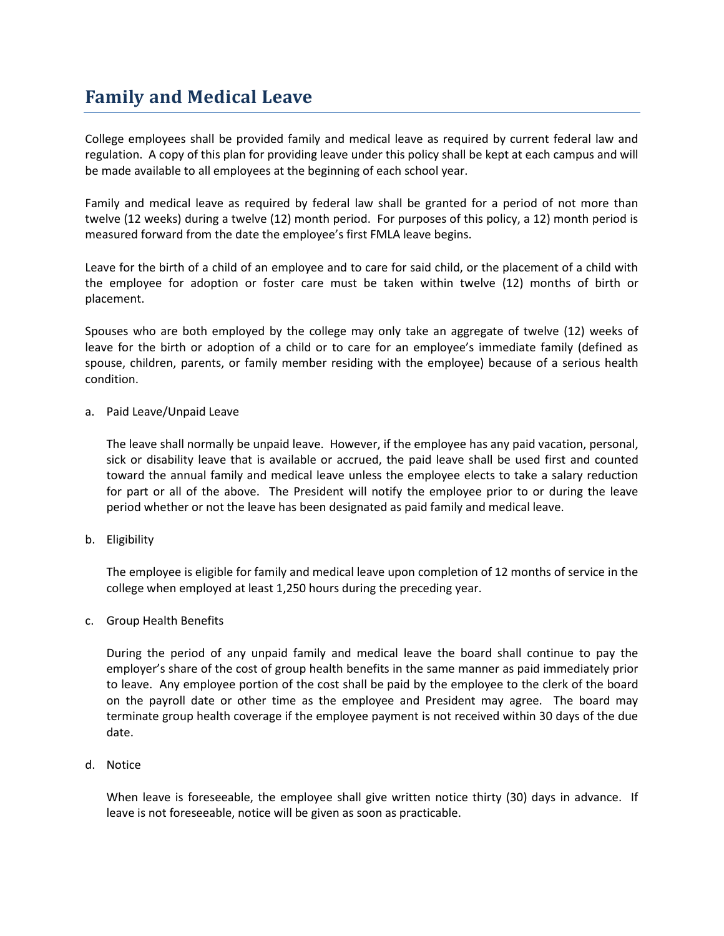## **Family and Medical Leave**

College employees shall be provided family and medical leave as required by current federal law and regulation. A copy of this plan for providing leave under this policy shall be kept at each campus and will be made available to all employees at the beginning of each school year.

Family and medical leave as required by federal law shall be granted for a period of not more than twelve (12 weeks) during a twelve (12) month period. For purposes of this policy, a 12) month period is measured forward from the date the employee's first FMLA leave begins.

Leave for the birth of a child of an employee and to care for said child, or the placement of a child with the employee for adoption or foster care must be taken within twelve (12) months of birth or placement.

Spouses who are both employed by the college may only take an aggregate of twelve (12) weeks of leave for the birth or adoption of a child or to care for an employee's immediate family (defined as spouse, children, parents, or family member residing with the employee) because of a serious health condition.

a. Paid Leave/Unpaid Leave

The leave shall normally be unpaid leave. However, if the employee has any paid vacation, personal, sick or disability leave that is available or accrued, the paid leave shall be used first and counted toward the annual family and medical leave unless the employee elects to take a salary reduction for part or all of the above. The President will notify the employee prior to or during the leave period whether or not the leave has been designated as paid family and medical leave.

b. Eligibility

The employee is eligible for family and medical leave upon completion of 12 months of service in the college when employed at least 1,250 hours during the preceding year.

c. Group Health Benefits

During the period of any unpaid family and medical leave the board shall continue to pay the employer's share of the cost of group health benefits in the same manner as paid immediately prior to leave. Any employee portion of the cost shall be paid by the employee to the clerk of the board on the payroll date or other time as the employee and President may agree. The board may terminate group health coverage if the employee payment is not received within 30 days of the due date.

d. Notice

When leave is foreseeable, the employee shall give written notice thirty (30) days in advance. If leave is not foreseeable, notice will be given as soon as practicable.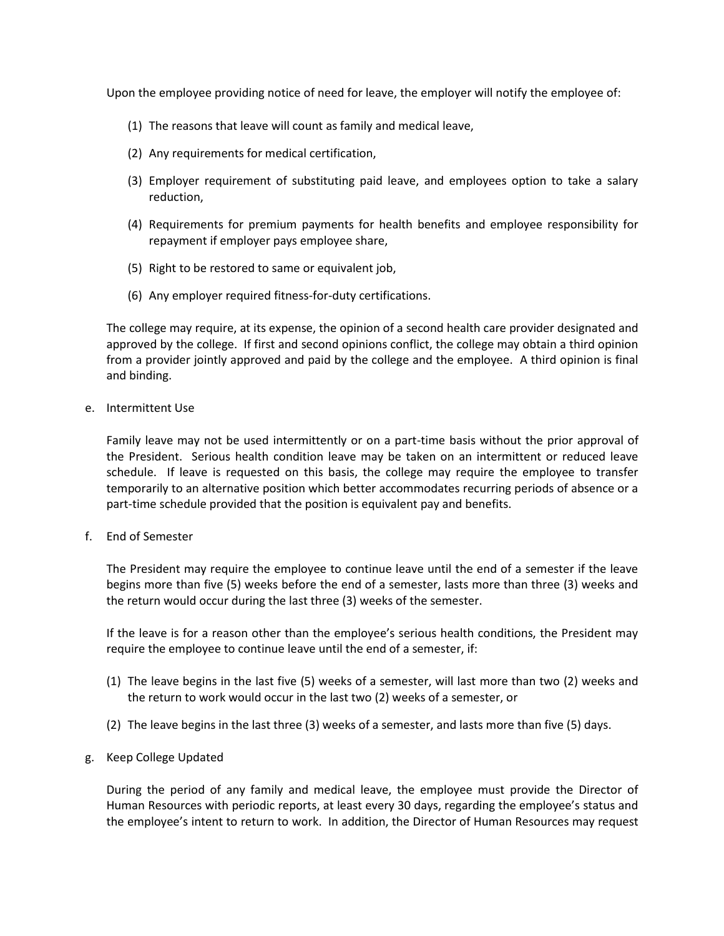Upon the employee providing notice of need for leave, the employer will notify the employee of:

- (1) The reasons that leave will count as family and medical leave,
- (2) Any requirements for medical certification,
- (3) Employer requirement of substituting paid leave, and employees option to take a salary reduction,
- (4) Requirements for premium payments for health benefits and employee responsibility for repayment if employer pays employee share,
- (5) Right to be restored to same or equivalent job,
- (6) Any employer required fitness-for-duty certifications.

The college may require, at its expense, the opinion of a second health care provider designated and approved by the college. If first and second opinions conflict, the college may obtain a third opinion from a provider jointly approved and paid by the college and the employee. A third opinion is final and binding.

e. Intermittent Use

Family leave may not be used intermittently or on a part-time basis without the prior approval of the President. Serious health condition leave may be taken on an intermittent or reduced leave schedule. If leave is requested on this basis, the college may require the employee to transfer temporarily to an alternative position which better accommodates recurring periods of absence or a part-time schedule provided that the position is equivalent pay and benefits.

f. End of Semester

The President may require the employee to continue leave until the end of a semester if the leave begins more than five (5) weeks before the end of a semester, lasts more than three (3) weeks and the return would occur during the last three (3) weeks of the semester.

If the leave is for a reason other than the employee's serious health conditions, the President may require the employee to continue leave until the end of a semester, if:

- (1) The leave begins in the last five (5) weeks of a semester, will last more than two (2) weeks and the return to work would occur in the last two (2) weeks of a semester, or
- (2) The leave begins in the last three (3) weeks of a semester, and lasts more than five (5) days.
- g. Keep College Updated

During the period of any family and medical leave, the employee must provide the Director of Human Resources with periodic reports, at least every 30 days, regarding the employee's status and the employee's intent to return to work. In addition, the Director of Human Resources may request